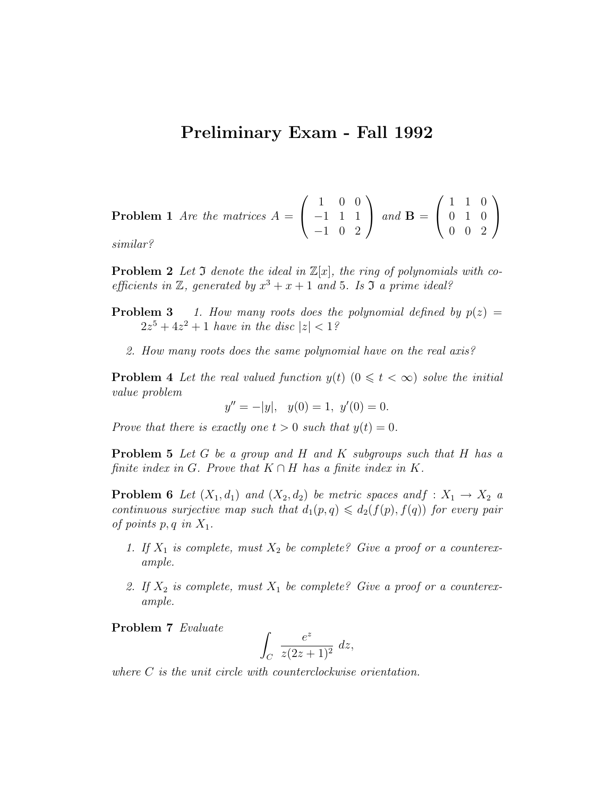## Preliminary Exam - Fall 1992

**Problem 1** Are the matrices 
$$
A = \begin{pmatrix} 1 & 0 & 0 \\ -1 & 1 & 1 \\ -1 & 0 & 2 \end{pmatrix}
$$
 and  $\mathbf{B} = \begin{pmatrix} 1 & 1 & 0 \\ 0 & 1 & 0 \\ 0 & 0 & 2 \end{pmatrix}$   
similar?

similar?

**Problem 2** Let 3 denote the ideal in  $\mathbb{Z}[x]$ , the ring of polynomials with coefficients in  $\mathbb{Z}$ , generated by  $x^3 + x + 1$  and 5. Is  $\mathfrak{I}$  a prime ideal?

- **Problem 3** 1. How many roots does the polynomial defined by  $p(z) =$  $2z^5 + 4z^2 + 1$  have in the disc  $|z| < 1$ ?
	- 2. How many roots does the same polynomial have on the real axis?

**Problem 4** Let the real valued function  $y(t)$   $(0 \leq t < \infty)$  solve the initial value problem

 $y'' = -|y|, y(0) = 1, y'(0) = 0.$ 

Prove that there is exactly one  $t > 0$  such that  $y(t) = 0$ .

Problem 5 Let G be a group and H and K subgroups such that H has a finite index in G. Prove that  $K \cap H$  has a finite index in K.

**Problem 6** Let  $(X_1, d_1)$  and  $(X_2, d_2)$  be metric spaces andf :  $X_1 \rightarrow X_2$  a continuous surjective map such that  $d_1(p,q) \leq d_2(f(p), f(q))$  for every pair of points  $p, q$  in  $X_1$ .

- 1. If  $X_1$  is complete, must  $X_2$  be complete? Give a proof or a counterexample.
- 2. If  $X_2$  is complete, must  $X_1$  be complete? Give a proof or a counterexample.

Problem 7 Evaluate

$$
\int_C \frac{e^z}{z(2z+1)^2} dz,
$$

where C is the unit circle with counterclockwise orientation.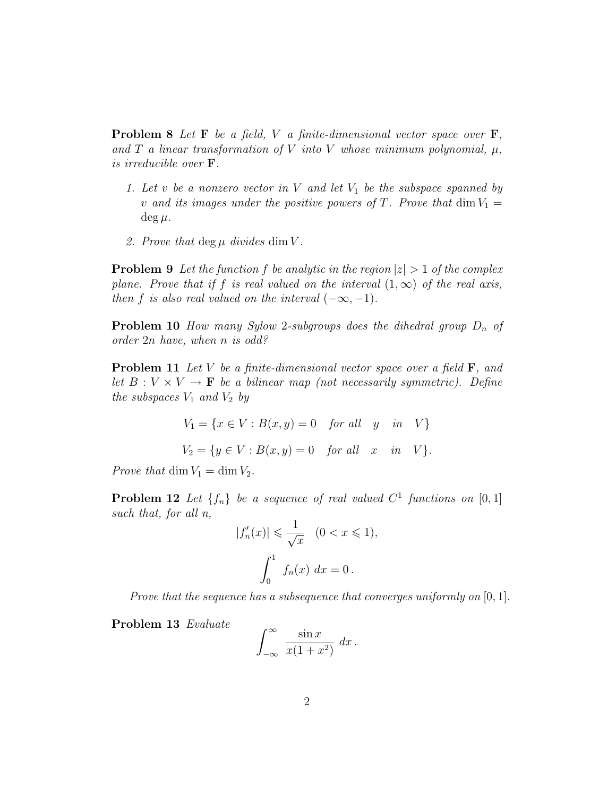**Problem 8** Let **F** be a field, V a finite-dimensional vector space over **F**, and T a linear transformation of V into V whose minimum polynomial,  $\mu$ , is irreducible over F.

- 1. Let v be a nonzero vector in V and let  $V_1$  be the subspace spanned by v and its images under the positive powers of T. Prove that  $\dim V_1 =$  $\deg \mu$ .
- 2. Prove that deg  $\mu$  divides dim V.

**Problem 9** Let the function f be analytic in the region  $|z| > 1$  of the complex plane. Prove that if f is real valued on the interval  $(1,\infty)$  of the real axis, then f is also real valued on the interval  $(-\infty, -1)$ .

**Problem 10** How many Sylow 2-subgroups does the dihedral group  $D_n$  of order 2n have, when n is odd?

**Problem 11** Let V be a finite-dimensional vector space over a field  $\mathbf{F}$ , and let  $B: V \times V \to \mathbf{F}$  be a bilinear map (not necessarily symmetric). Define the subspaces  $V_1$  and  $V_2$  by

$$
V_1 = \{x \in V : B(x, y) = 0 \text{ for all } y \text{ in } V\}
$$
  

$$
V_2 = \{y \in V : B(x, y) = 0 \text{ for all } x \text{ in } V\}.
$$

Prove that dim  $V_1 = \dim V_2$ .

**Problem 12** Let  $\{f_n\}$  be a sequence of real valued  $C^1$  functions on  $[0,1]$ such that, for all n,

$$
|f'_n(x)| \leqslant \frac{1}{\sqrt{x}} \quad (0 < x \leqslant 1),
$$
\n
$$
\int_0^1 f_n(x) \, dx = 0.
$$

Prove that the sequence has a subsequence that converges uniformly on  $[0, 1]$ .

Problem 13 Evaluate

$$
\int_{-\infty}^{\infty} \frac{\sin x}{x(1+x^2)} dx.
$$